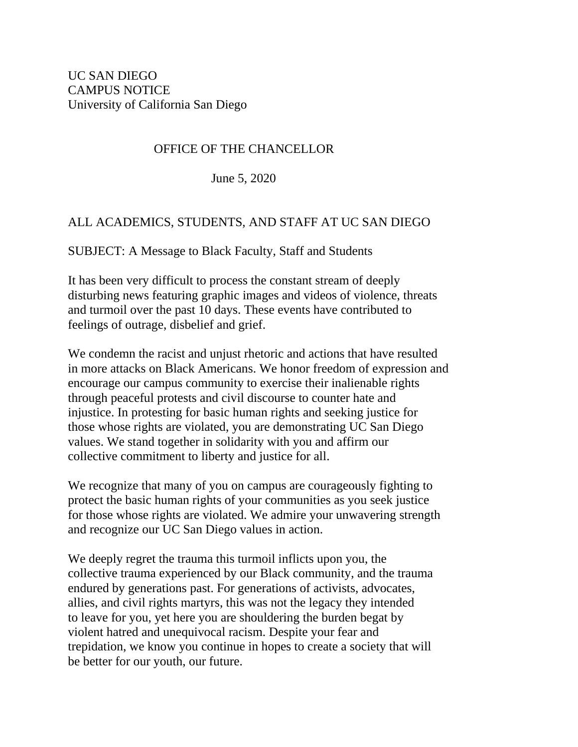## OFFICE OF THE CHANCELLOR

June 5, 2020

## ALL ACADEMICS, STUDENTS, AND STAFF AT UC SAN DIEGO

SUBJECT: A Message to Black Faculty, Staff and Students

It has been very difficult to process the constant stream of deeply disturbing news featuring graphic images and videos of violence, threats and turmoil over the past 10 days. These events have contributed to feelings of outrage, disbelief and grief.

We condemn the racist and unjust rhetoric and actions that have resulted in more attacks on Black Americans. We honor freedom of expression and encourage our campus community to exercise their inalienable rights through peaceful protests and civil discourse to counter hate and injustice. In protesting for basic human rights and seeking justice for those whose rights are violated, you are demonstrating UC San Diego values. We stand together in solidarity with you and affirm our collective commitment to liberty and justice for all.

We recognize that many of you on campus are courageously fighting to protect the basic human rights of your communities as you seek justice for those whose rights are violated. We admire your unwavering strength and recognize our UC San Diego values in action.

We deeply regret the trauma this turmoil inflicts upon you, the collective trauma experienced by our Black community, and the trauma endured by generations past. For generations of activists, advocates, allies, and civil rights martyrs, this was not the legacy they intended to leave for you, yet here you are shouldering the burden begat by violent hatred and unequivocal racism. Despite your fear and trepidation, we know you continue in hopes to create a society that will be better for our youth, our future.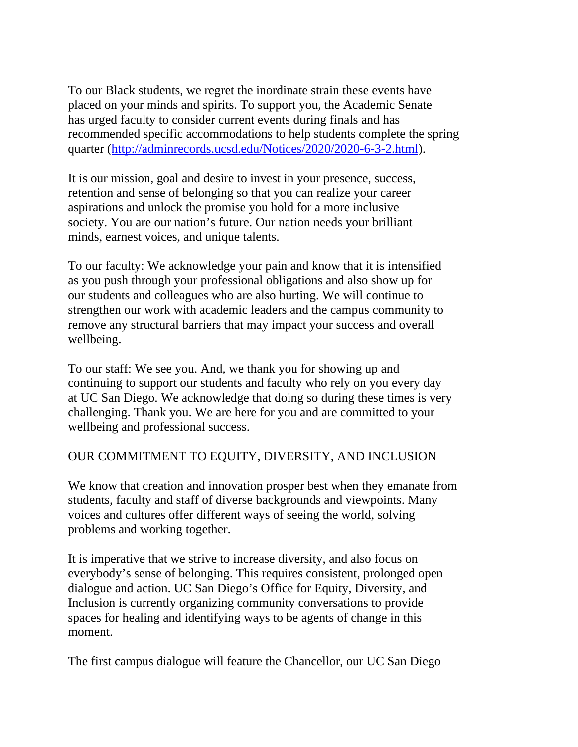To our Black students, we regret the inordinate strain these events have placed on your minds and spirits. To support you, the Academic Senate has urged faculty to consider current events during finals and has recommended specific accommodations to help students complete the spring quarter [\(http://adminrecords.ucsd.edu/Notices/2020/2020-6-3-2.html\)](http://adminrecords.ucsd.edu/Notices/2020/2020-6-3-2.html).

It is our mission, goal and desire to invest in your presence, success, retention and sense of belonging so that you can realize your career aspirations and unlock the promise you hold for a more inclusive society. You are our nation's future. Our nation needs your brilliant minds, earnest voices, and unique talents.

To our faculty: We acknowledge your pain and know that it is intensified as you push through your professional obligations and also show up for our students and colleagues who are also hurting. We will continue to strengthen our work with academic leaders and the campus community to remove any structural barriers that may impact your success and overall wellbeing.

To our staff: We see you. And, we thank you for showing up and continuing to support our students and faculty who rely on you every day at UC San Diego. We acknowledge that doing so during these times is very challenging. Thank you. We are here for you and are committed to your wellbeing and professional success.

## OUR COMMITMENT TO EQUITY, DIVERSITY, AND INCLUSION

We know that creation and innovation prosper best when they emanate from students, faculty and staff of diverse backgrounds and viewpoints. Many voices and cultures offer different ways of seeing the world, solving problems and working together.

It is imperative that we strive to increase diversity, and also focus on everybody's sense of belonging. This requires consistent, prolonged open dialogue and action. UC San Diego's Office for Equity, Diversity, and Inclusion is currently organizing community conversations to provide spaces for healing and identifying ways to be agents of change in this moment.

The first campus dialogue will feature the Chancellor, our UC San Diego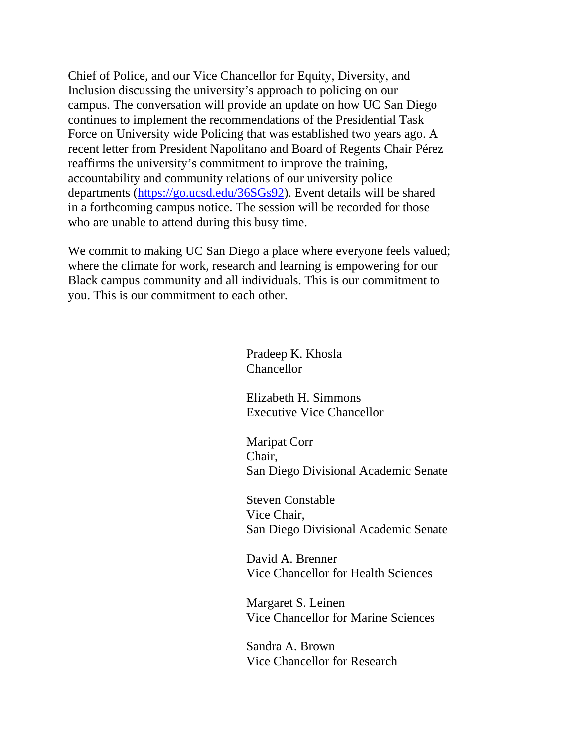Chief of Police, and our Vice Chancellor for Equity, Diversity, and Inclusion discussing the university's approach to policing on our campus. The conversation will provide an update on how UC San Diego continues to implement the recommendations of the Presidential Task Force on University wide Policing that was established two years ago. A recent letter from President Napolitano and Board of Regents Chair Pérez reaffirms the university's commitment to improve the training, accountability and community relations of our university police departments [\(https://go.ucsd.edu/36SGs92\)](https://go.ucsd.edu/36SGs92). Event details will be shared in a forthcoming campus notice. The session will be recorded for those who are unable to attend during this busy time.

We commit to making UC San Diego a place where everyone feels valued; where the climate for work, research and learning is empowering for our Black campus community and all individuals. This is our commitment to you. This is our commitment to each other.

> Pradeep K. Khosla Chancellor

 Elizabeth H. Simmons Executive Vice Chancellor

 Maripat Corr Chair, San Diego Divisional Academic Senate

 Steven Constable Vice Chair, San Diego Divisional Academic Senate

 David A. Brenner Vice Chancellor for Health Sciences

 Margaret S. Leinen Vice Chancellor for Marine Sciences

 Sandra A. Brown Vice Chancellor for Research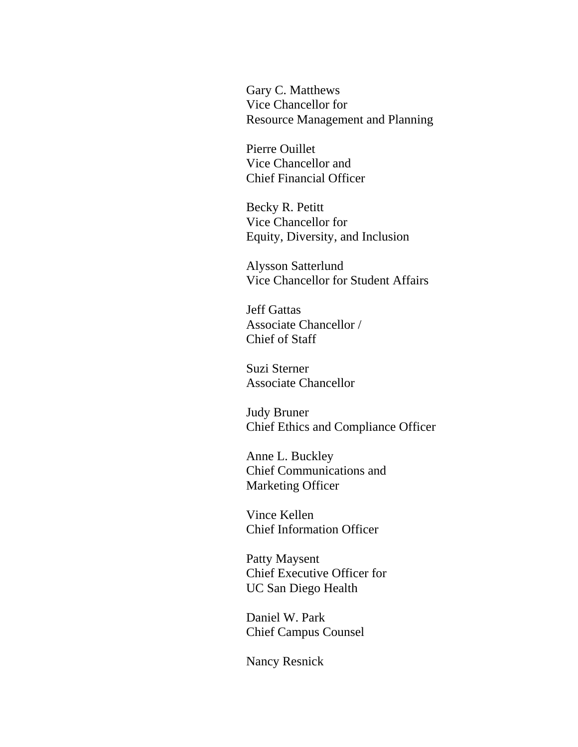Gary C. Matthews Vice Chancellor for Resource Management and Planning

 Pierre Ouillet Vice Chancellor and Chief Financial Officer

 Becky R. Petitt Vice Chancellor for Equity, Diversity, and Inclusion

 Alysson Satterlund Vice Chancellor for Student Affairs

 Jeff Gattas Associate Chancellor / Chief of Staff

 Suzi Sterner Associate Chancellor

 Judy Bruner Chief Ethics and Compliance Officer

 Anne L. Buckley Chief Communications and Marketing Officer

 Vince Kellen Chief Information Officer

 Patty Maysent Chief Executive Officer for UC San Diego Health

 Daniel W. Park Chief Campus Counsel

Nancy Resnick